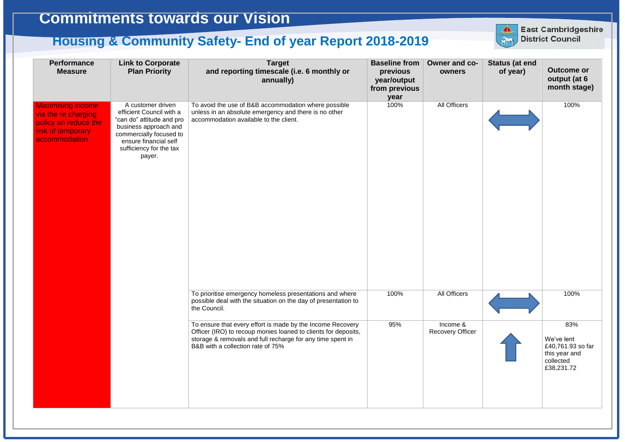| <b>Performance</b><br><b>Measure</b>                                                                          | <b>Link to Corporate</b><br><b>Plan Priority</b>                                                                                                                                             | <b>Target</b><br>and reporting timescale (i.e. 6 monthly or<br>annually)                                                                                                                                                        | <b>Baseline from</b><br>previous<br>year/output<br>from previous<br>year | Owner and c<br>owners             |
|---------------------------------------------------------------------------------------------------------------|----------------------------------------------------------------------------------------------------------------------------------------------------------------------------------------------|---------------------------------------------------------------------------------------------------------------------------------------------------------------------------------------------------------------------------------|--------------------------------------------------------------------------|-----------------------------------|
| <b>Maximising income</b><br>via the re charging<br>policy an reduce the<br>risk of temporary<br>accommodation | A customer driven<br>efficient Council with a<br>"can do" attitude and pro<br>business approach and<br>commercially focused to<br>ensure financial self<br>sufficiency for the tax<br>payer. | To avoid the use of B&B accommodation where possible<br>unless in an absolute emergency and there is no other<br>accommodation available to the client.                                                                         | 100%                                                                     | <b>All Officers</b>               |
|                                                                                                               |                                                                                                                                                                                              | To prioritise emergency homeless presentations and where<br>possible deal with the situation on the day of presentation to<br>the Council.                                                                                      | 100%                                                                     | All Officers                      |
|                                                                                                               |                                                                                                                                                                                              | To ensure that every effort is made by the Income Recovery<br>Officer (IRO) to recoup monies loaned to clients for deposits,<br>storage & removals and full recharge for any time spent in<br>B&B with a collection rate of 75% | 95%                                                                      | Income &<br><b>Recovery Offic</b> |



## **Commitments towards our Vision**

## **Housing & Community Safety- End of year Report 2018-2019**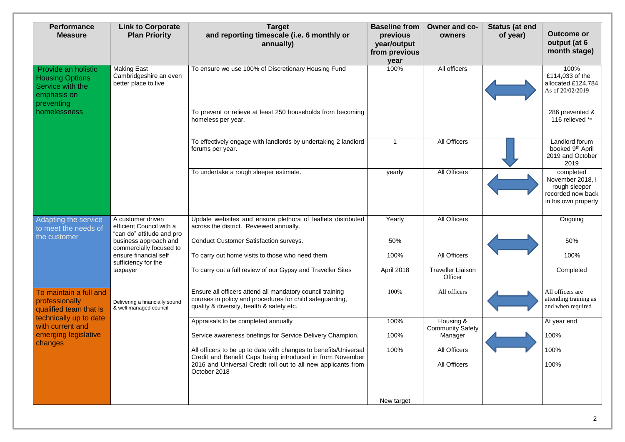| <b>Performance</b><br><b>Measure</b>                                                                                                                | <b>Link to Corporate</b><br><b>Plan Priority</b>                                                                                                                                           | <b>Target</b><br>and reporting timescale (i.e. 6 monthly or<br>annually)                                                                                           | <b>Baseline from</b><br>previous<br>year/output<br>from previous<br>year | <b>Owner and co-</b><br>owners       | <b>Status (at end</b><br>of year) | <b>Outcome or</b><br>output (at 6<br>month stage)                                          |
|-----------------------------------------------------------------------------------------------------------------------------------------------------|--------------------------------------------------------------------------------------------------------------------------------------------------------------------------------------------|--------------------------------------------------------------------------------------------------------------------------------------------------------------------|--------------------------------------------------------------------------|--------------------------------------|-----------------------------------|--------------------------------------------------------------------------------------------|
| Provide an holistic<br><b>Housing Options</b><br>Service with the<br>emphasis on<br>preventing<br>homelessness                                      | <b>Making East</b><br>Cambridgeshire an even<br>better place to live                                                                                                                       | To ensure we use 100% of Discretionary Housing Fund                                                                                                                | 100%                                                                     | All officers                         |                                   | 100%<br>£114,033 of the<br>allocated £124,784<br>As of 20/02/2019                          |
|                                                                                                                                                     |                                                                                                                                                                                            | To prevent or relieve at least 250 households from becoming<br>homeless per year.                                                                                  |                                                                          |                                      |                                   | 286 prevented &<br>116 relieved **                                                         |
|                                                                                                                                                     |                                                                                                                                                                                            | To effectively engage with landlords by undertaking 2 landlord<br>forums per year.                                                                                 |                                                                          | <b>All Officers</b>                  |                                   | Landlord forum<br>booked 9 <sup>th</sup> April<br>2019 and October<br>2019                 |
|                                                                                                                                                     |                                                                                                                                                                                            | To undertake a rough sleeper estimate.                                                                                                                             | yearly                                                                   | All Officers                         |                                   | completed<br>November 2018, I<br>rough sleeper<br>recorded now back<br>in his own property |
| Adapting the service<br>to meet the needs of<br>the customer                                                                                        | A customer driven<br>efficient Council with a<br>"can do" attitude and pro<br>business approach and<br>commercially focused to<br>ensure financial self<br>sufficiency for the<br>taxpayer | Update websites and ensure plethora of leaflets distributed<br>across the district. Reviewed annually.                                                             | Yearly                                                                   | <b>All Officers</b>                  |                                   | Ongoing                                                                                    |
|                                                                                                                                                     |                                                                                                                                                                                            | <b>Conduct Customer Satisfaction surveys.</b>                                                                                                                      | 50%                                                                      |                                      |                                   | 50%                                                                                        |
|                                                                                                                                                     |                                                                                                                                                                                            | To carry out home visits to those who need them.                                                                                                                   | 100%                                                                     | All Officers                         |                                   | 100%                                                                                       |
|                                                                                                                                                     |                                                                                                                                                                                            | To carry out a full review of our Gypsy and Traveller Sites                                                                                                        | April 2018                                                               | <b>Traveller Liaison</b><br>Officer  |                                   | Completed                                                                                  |
| To maintain a full and<br>professionally<br>qualified team that is<br>technically up to date<br>with current and<br>emerging legislative<br>changes | Delivering a financially sound<br>& well managed council                                                                                                                                   | Ensure all officers attend all mandatory council training<br>courses in policy and procedures for child safeguarding,<br>quality & diversity, health & safety etc. | 100%                                                                     | All officers                         |                                   | All officers are<br>attending training as<br>and when required                             |
|                                                                                                                                                     |                                                                                                                                                                                            | Appraisals to be completed annually                                                                                                                                | 100%                                                                     | Housing &<br><b>Community Safety</b> |                                   | At year end                                                                                |
|                                                                                                                                                     |                                                                                                                                                                                            | Service awareness briefings for Service Delivery Champion.                                                                                                         | 100%                                                                     | Manager                              |                                   | 100%                                                                                       |
|                                                                                                                                                     |                                                                                                                                                                                            | All officers to be up to date with changes to benefits/Universal<br>Credit and Benefit Caps being introduced in from November                                      | 100%                                                                     | <b>All Officers</b>                  |                                   | 100%                                                                                       |
|                                                                                                                                                     |                                                                                                                                                                                            | 2016 and Universal Credit roll out to all new applicants from<br>October 2018                                                                                      |                                                                          | <b>All Officers</b>                  |                                   | 100%                                                                                       |
|                                                                                                                                                     |                                                                                                                                                                                            |                                                                                                                                                                    | New target                                                               |                                      |                                   |                                                                                            |